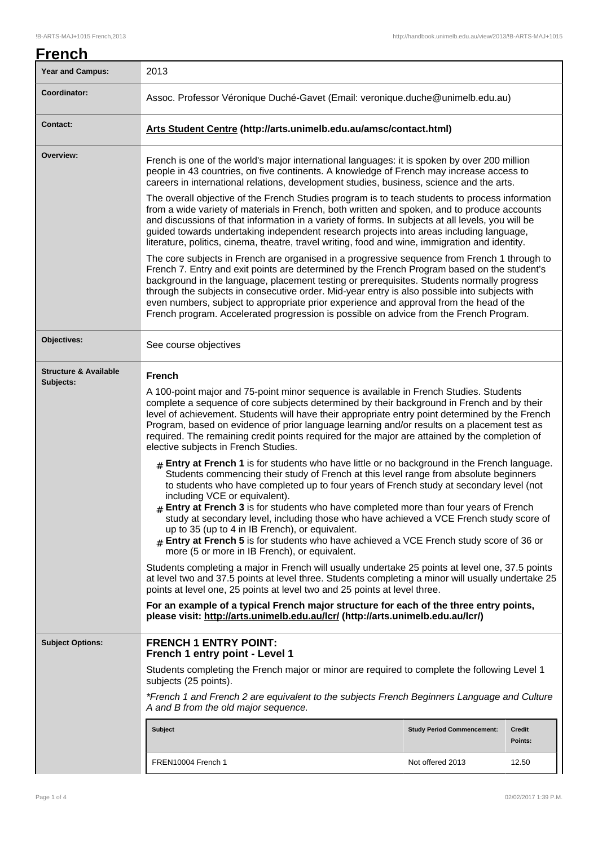| <u>French</u>                                 |                                                                                                                                                                                                                                                                                                                                                                                                                                                                                                                                                                                                                                                                                                                                                                                                                                                                                                                                                                                                                                                                                                                                                                                                                                                                                                                                                                                                                                                                                                                                                                                                                                                                                                                                 |                  |         |  |
|-----------------------------------------------|---------------------------------------------------------------------------------------------------------------------------------------------------------------------------------------------------------------------------------------------------------------------------------------------------------------------------------------------------------------------------------------------------------------------------------------------------------------------------------------------------------------------------------------------------------------------------------------------------------------------------------------------------------------------------------------------------------------------------------------------------------------------------------------------------------------------------------------------------------------------------------------------------------------------------------------------------------------------------------------------------------------------------------------------------------------------------------------------------------------------------------------------------------------------------------------------------------------------------------------------------------------------------------------------------------------------------------------------------------------------------------------------------------------------------------------------------------------------------------------------------------------------------------------------------------------------------------------------------------------------------------------------------------------------------------------------------------------------------------|------------------|---------|--|
| <b>Year and Campus:</b>                       | 2013                                                                                                                                                                                                                                                                                                                                                                                                                                                                                                                                                                                                                                                                                                                                                                                                                                                                                                                                                                                                                                                                                                                                                                                                                                                                                                                                                                                                                                                                                                                                                                                                                                                                                                                            |                  |         |  |
| Coordinator:                                  | Assoc. Professor Véronique Duché-Gavet (Email: veronique.duche@unimelb.edu.au)                                                                                                                                                                                                                                                                                                                                                                                                                                                                                                                                                                                                                                                                                                                                                                                                                                                                                                                                                                                                                                                                                                                                                                                                                                                                                                                                                                                                                                                                                                                                                                                                                                                  |                  |         |  |
| <b>Contact:</b>                               | Arts Student Centre (http://arts.unimelb.edu.au/amsc/contact.html)                                                                                                                                                                                                                                                                                                                                                                                                                                                                                                                                                                                                                                                                                                                                                                                                                                                                                                                                                                                                                                                                                                                                                                                                                                                                                                                                                                                                                                                                                                                                                                                                                                                              |                  |         |  |
| Overview:                                     | French is one of the world's major international languages: it is spoken by over 200 million<br>people in 43 countries, on five continents. A knowledge of French may increase access to<br>careers in international relations, development studies, business, science and the arts.<br>The overall objective of the French Studies program is to teach students to process information<br>from a wide variety of materials in French, both written and spoken, and to produce accounts<br>and discussions of that information in a variety of forms. In subjects at all levels, you will be<br>guided towards undertaking independent research projects into areas including language,<br>literature, politics, cinema, theatre, travel writing, food and wine, immigration and identity.                                                                                                                                                                                                                                                                                                                                                                                                                                                                                                                                                                                                                                                                                                                                                                                                                                                                                                                                      |                  |         |  |
|                                               |                                                                                                                                                                                                                                                                                                                                                                                                                                                                                                                                                                                                                                                                                                                                                                                                                                                                                                                                                                                                                                                                                                                                                                                                                                                                                                                                                                                                                                                                                                                                                                                                                                                                                                                                 |                  |         |  |
|                                               | The core subjects in French are organised in a progressive sequence from French 1 through to<br>French 7. Entry and exit points are determined by the French Program based on the student's<br>background in the language, placement testing or prerequisites. Students normally progress<br>through the subjects in consecutive order. Mid-year entry is also possible into subjects with<br>even numbers, subject to appropriate prior experience and approval from the head of the<br>French program. Accelerated progression is possible on advice from the French Program.                                                                                                                                                                                                                                                                                                                                                                                                                                                                                                                                                                                                                                                                                                                                                                                                                                                                                                                                                                                                                                                                                                                                                 |                  |         |  |
| Objectives:                                   | See course objectives                                                                                                                                                                                                                                                                                                                                                                                                                                                                                                                                                                                                                                                                                                                                                                                                                                                                                                                                                                                                                                                                                                                                                                                                                                                                                                                                                                                                                                                                                                                                                                                                                                                                                                           |                  |         |  |
| <b>Structure &amp; Available</b><br>Subjects: | <b>French</b><br>A 100-point major and 75-point minor sequence is available in French Studies. Students<br>complete a sequence of core subjects determined by their background in French and by their<br>level of achievement. Students will have their appropriate entry point determined by the French<br>Program, based on evidence of prior language learning and/or results on a placement test as<br>required. The remaining credit points required for the major are attained by the completion of<br>elective subjects in French Studies.<br>$#$ Entry at French 1 is for students who have little or no background in the French language.<br>Students commencing their study of French at this level range from absolute beginners<br>to students who have completed up to four years of French study at secondary level (not<br>including VCE or equivalent).<br>$#$ Entry at French 3 is for students who have completed more than four years of French<br>study at secondary level, including those who have achieved a VCE French study score of<br>up to 35 (up to 4 in IB French), or equivalent.<br>Entry at French 5 is for students who have achieved a VCE French study score of 36 or<br>more (5 or more in IB French), or equivalent.<br>Students completing a major in French will usually undertake 25 points at level one, 37.5 points<br>at level two and 37.5 points at level three. Students completing a minor will usually undertake 25<br>points at level one, 25 points at level two and 25 points at level three.<br>For an example of a typical French major structure for each of the three entry points,<br>please visit: http://arts.unimelb.edu.au/lcr/ (http://arts.unimelb.edu.au/lcr/) |                  |         |  |
| <b>Subject Options:</b>                       | <b>FRENCH 1 ENTRY POINT:</b><br>French 1 entry point - Level 1<br>Students completing the French major or minor are required to complete the following Level 1<br>subjects (25 points).<br>*French 1 and French 2 are equivalent to the subjects French Beginners Language and Culture                                                                                                                                                                                                                                                                                                                                                                                                                                                                                                                                                                                                                                                                                                                                                                                                                                                                                                                                                                                                                                                                                                                                                                                                                                                                                                                                                                                                                                          |                  |         |  |
|                                               | A and B from the old major sequence.<br><b>Subject</b><br><b>Study Period Commencement:</b><br>Credit                                                                                                                                                                                                                                                                                                                                                                                                                                                                                                                                                                                                                                                                                                                                                                                                                                                                                                                                                                                                                                                                                                                                                                                                                                                                                                                                                                                                                                                                                                                                                                                                                           |                  | Points: |  |
|                                               | FREN10004 French 1                                                                                                                                                                                                                                                                                                                                                                                                                                                                                                                                                                                                                                                                                                                                                                                                                                                                                                                                                                                                                                                                                                                                                                                                                                                                                                                                                                                                                                                                                                                                                                                                                                                                                                              | Not offered 2013 | 12.50   |  |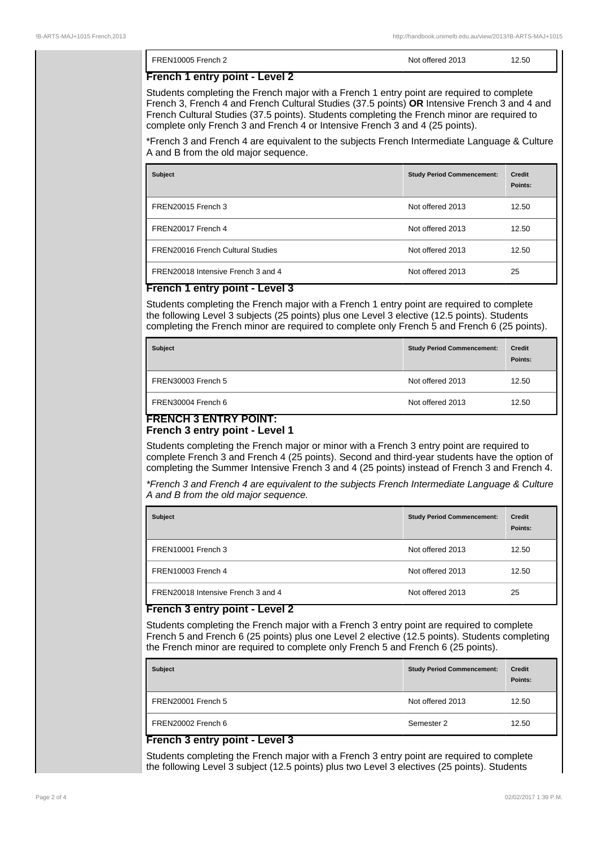| FREN10005 French 2                                                                                                                                                                                                                                                                                                                                                       | Not offered 2013 | 12.50 |
|--------------------------------------------------------------------------------------------------------------------------------------------------------------------------------------------------------------------------------------------------------------------------------------------------------------------------------------------------------------------------|------------------|-------|
| French 1 entry point - Level 2                                                                                                                                                                                                                                                                                                                                           |                  |       |
| Students completing the French major with a French 1 entry point are required to complete<br>French 3, French 4 and French Cultural Studies (37.5 points) OR Intensive French 3 and 4 and<br>French Cultural Studies (37.5 points). Students completing the French minor are required to<br>complete only French 3 and French 4 or Intensive French 3 and 4 (25 points). |                  |       |
| *French 3 and French 4 are equivalent to the subjects French Intermediate Language & Culture<br>A and B from the old major sequence.                                                                                                                                                                                                                                     |                  |       |

| <b>Subject</b>                           | <b>Study Period Commencement:</b> | <b>Credit</b><br>Points: |
|------------------------------------------|-----------------------------------|--------------------------|
| FREN20015 French 3                       | Not offered 2013                  | 12.50                    |
| FREN20017 French 4                       | Not offered 2013                  | 12.50                    |
| <b>FREN20016 French Cultural Studies</b> | Not offered 2013                  | 12.50                    |
| FREN20018 Intensive French 3 and 4       | Not offered 2013                  | 25                       |

### **French 1 entry point - Level 3**

Students completing the French major with a French 1 entry point are required to complete the following Level 3 subjects (25 points) plus one Level 3 elective (12.5 points). Students completing the French minor are required to complete only French 5 and French 6 (25 points).

| <b>Subject</b>     | <b>Study Period Commencement:</b> | <b>Credit</b><br>Points: |
|--------------------|-----------------------------------|--------------------------|
| FREN30003 French 5 | Not offered 2013                  | 12.50                    |
| FREN30004 French 6 | Not offered 2013                  | 12.50                    |

#### **FRENCH 3 ENTRY POINT: French 3 entry point - Level 1**

Students completing the French major or minor with a French 3 entry point are required to complete French 3 and French 4 (25 points). Second and third-year students have the option of completing the Summer Intensive French 3 and 4 (25 points) instead of French 3 and French 4.

\*French 3 and French 4 are equivalent to the subjects French Intermediate Language & Culture A and B from the old major sequence.

| <b>Subject</b>                     | <b>Study Period Commencement:</b> | <b>Credit</b><br>Points: |
|------------------------------------|-----------------------------------|--------------------------|
| FREN10001 French 3                 | Not offered 2013                  | 12.50                    |
| FREN10003 French 4                 | Not offered 2013                  | 12.50                    |
| FREN20018 Intensive French 3 and 4 | Not offered 2013                  | 25                       |

# **French 3 entry point - Level 2**

Students completing the French major with a French 3 entry point are required to complete French 5 and French 6 (25 points) plus one Level 2 elective (12.5 points). Students completing the French minor are required to complete only French 5 and French 6 (25 points).

| <b>Subject</b>     | <b>Study Period Commencement:</b> | Credit<br>Points: |
|--------------------|-----------------------------------|-------------------|
| FREN20001 French 5 | Not offered 2013                  | 12.50             |
| FREN20002 French 6 | Semester 2                        | 12.50             |

### **French 3 entry point - Level 3**

Students completing the French major with a French 3 entry point are required to complete the following Level 3 subject (12.5 points) plus two Level 3 electives (25 points). Students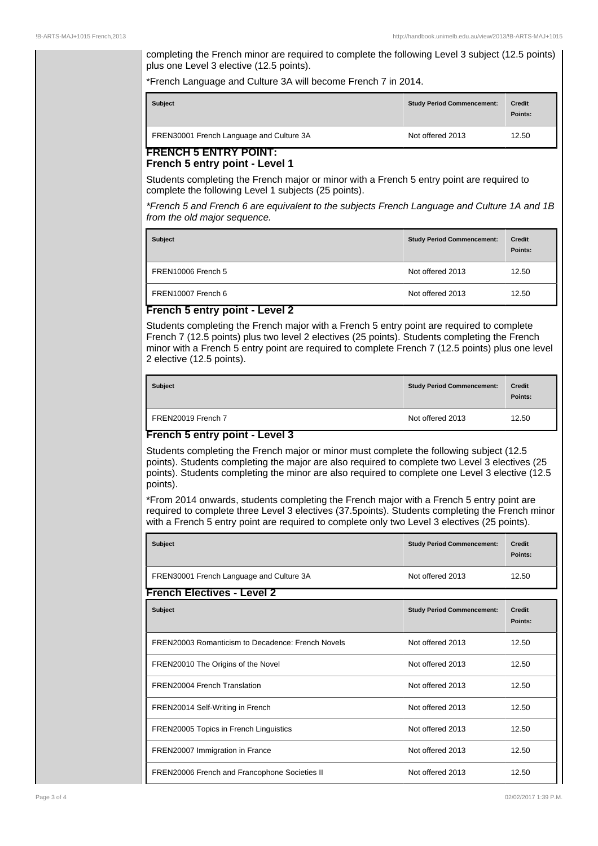completing the French minor are required to complete the following Level 3 subject (12.5 points) plus one Level 3 elective (12.5 points).

\*French Language and Culture 3A will become French 7 in 2014.

| <b>Subject</b>                           | <b>Study Period Commencement:</b> | <b>Credit</b><br>Points: |
|------------------------------------------|-----------------------------------|--------------------------|
| FREN30001 French Language and Culture 3A | Not offered 2013                  | 12.50                    |

#### **FRENCH 5 ENTRY POINT: French 5 entry point - Level 1**

Students completing the French major or minor with a French 5 entry point are required to complete the following Level 1 subjects (25 points).

\*French 5 and French 6 are equivalent to the subjects French Language and Culture 1A and 1B from the old major sequence.

| <b>Subject</b>     | <b>Study Period Commencement:</b> | <b>Credit</b><br>Points: |
|--------------------|-----------------------------------|--------------------------|
| FREN10006 French 5 | Not offered 2013                  | 12.50                    |
| FREN10007 French 6 | Not offered 2013                  | 12.50                    |

## **French 5 entry point - Level 2**

Students completing the French major with a French 5 entry point are required to complete French 7 (12.5 points) plus two level 2 electives (25 points). Students completing the French minor with a French 5 entry point are required to complete French 7 (12.5 points) plus one level 2 elective (12.5 points).

| <b>Subject</b>          | <b>Study Period Commencement:</b> | <b>Credit</b><br>Points: |
|-------------------------|-----------------------------------|--------------------------|
| FREN20019 French 7<br>- | Not offered 2013                  | 12.50                    |

## **French 5 entry point - Level 3**

Students completing the French major or minor must complete the following subject (12.5 points). Students completing the major are also required to complete two Level 3 electives (25 points). Students completing the minor are also required to complete one Level 3 elective (12.5 points).

\*From 2014 onwards, students completing the French major with a French 5 entry point are required to complete three Level 3 electives (37.5points). Students completing the French minor with a French 5 entry point are required to complete only two Level 3 electives (25 points).

| <b>Subject</b>                                    | <b>Study Period Commencement:</b> | <b>Credit</b><br>Points: |
|---------------------------------------------------|-----------------------------------|--------------------------|
| FREN30001 French Language and Culture 3A          | Not offered 2013                  | 12.50                    |
| <b>French Electives - Level 2</b>                 |                                   |                          |
| <b>Subject</b>                                    | <b>Study Period Commencement:</b> | <b>Credit</b><br>Points: |
| FREN20003 Romanticism to Decadence: French Novels | Not offered 2013                  | 12.50                    |
| FREN20010 The Origins of the Novel                | Not offered 2013                  | 12.50                    |
| FREN20004 French Translation                      | Not offered 2013                  | 12.50                    |
| FREN20014 Self-Writing in French                  | Not offered 2013                  | 12.50                    |
| FREN20005 Topics in French Linguistics            | Not offered 2013                  | 12.50                    |
| FREN20007 Immigration in France                   | Not offered 2013                  | 12.50                    |
| FREN20006 French and Francophone Societies II     | Not offered 2013                  | 12.50                    |